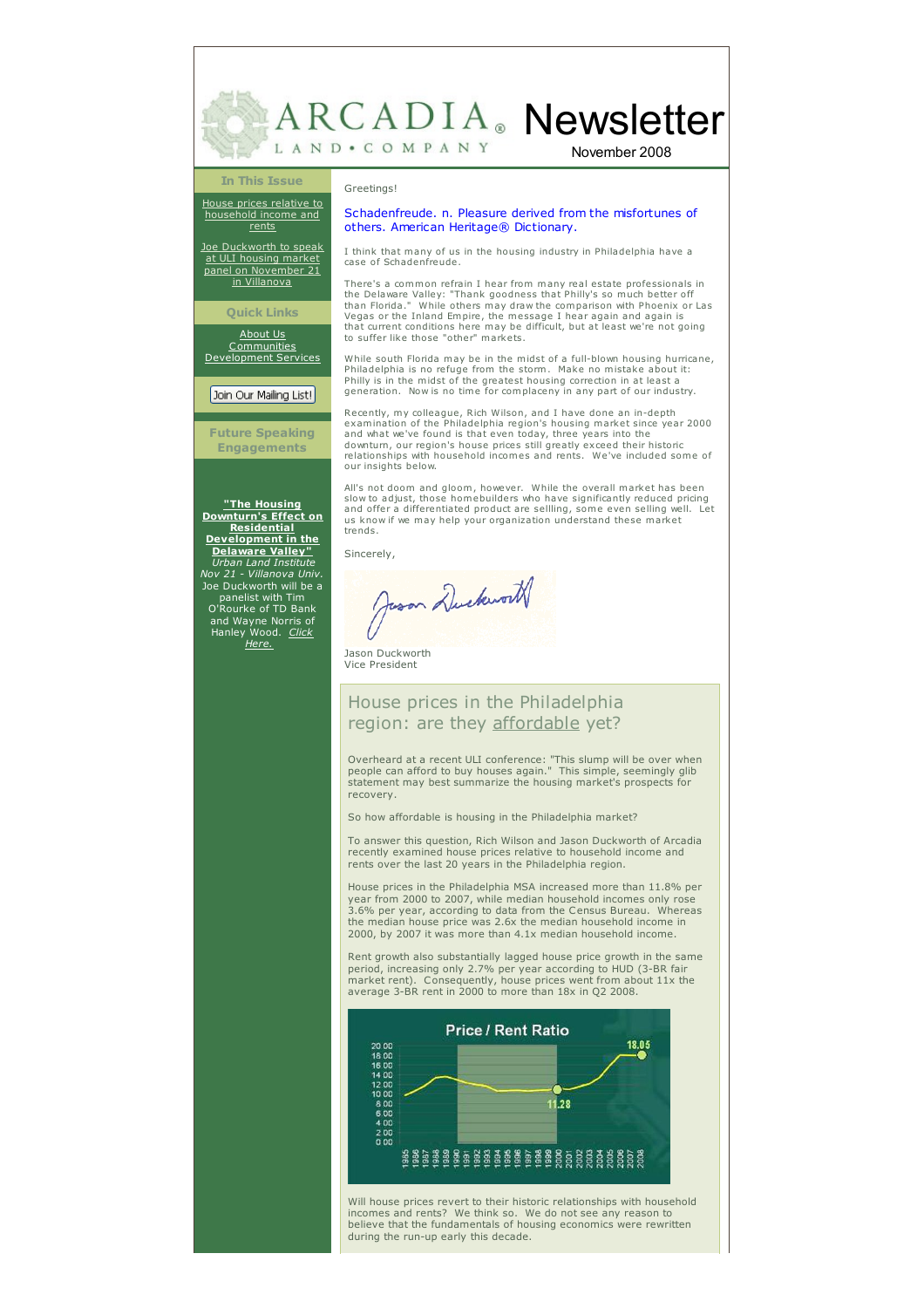ARCADIA. Newsletter LAND . COMPANY

November 2008

#### **In This Issue**

House prices relative to [household](#page-1-0) income and rents

Joe [Duckworth](#page-1-1) to speak at ULI housing market panel on November 21 in Villanova

#### **Quick Links**

[About](http://www.arcadialand.com/about.html) Us [Communities](http://www.arcadialand.com/communities.html) [Development](http://www.arcadialand.com/services.html) Services

## Join Our Mailing List!

**Future Speaking Engagements**

**"The Housing Downturn's Effect on Residential [Development](http://philadelphia.uli.org/Events/Upcoming Events/81260944.aspx) in the Delaware Valley"** *Urban Land Institute Nov 21 - Villanova Univ.* Joe Duckworth will be a panelist with Tim O'Rourke of TD Bank and Wayne Norris of Hanley [Wood.](http://philadelphia.uli.org/Events/Upcoming Events/81260944.aspx) *Click Here.*

### Greetings!

## Schadenfreude. n. Pleasure derived from the misfortunes of others. American Heritage® Dictionary.

I think that many of us in the housing industry in Philadelphia have a case of Schadenfreude.

There's a common refrain I hear from many real estate professionals in the Delaware Valley: "Thank goodness that Philly's so much better off than Florida." While others may draw the comparison with Phoenix or Las Vegas or the Inland Empire, the message I hear again and again is that current conditions here may be difficult, but at least we're not going to suffer like those "other" markets.

While south Florida may be in the midst of a full-blown housing hurricane, Philadelphia is no refuge from the storm. Make no mistake about it: Philly is in the midst of the greatest housing correction in at least a generation. Now is no time for complaceny in any part of our industry.

Recently, my colleague, Rich Wilson, and I have done an in-depth examination of the Philadelphia region's housing market since year 2000 and what we've found is that even today, three years into the downturn, our region's house prices still greatly exceed their historic relationships with household incomes and rents. We've included some of our insights below.

All's not doom and gloom, however. While the overall market has been<br>slow to adjust, those homebuilders who have significantly reduced pricing<br>and offer a differentiated product are sellling, some even selling well. Let<br>us trends.

Sincerely,

Juson Duckworth

Jason Duckworth Vice President

# House prices in the Philadelphia region: are they affordable yet?

Overheard at a recent ULI conference: "This slump will be over when people can afford to buy houses again." This simple, seemingly glib statement may best summarize the housing market's prospects for recovery.

So how affordable is housing in the Philadelphia market?

To answer this question, Rich Wilson and Jason Duckworth of Arcadia recently examined house prices relative to household income and rents over the last 20 years in the Philadelphia region.

House prices in the Philadelphia MSA increased more than 11.8% per year from 2000 to 2007, while median household incomes only rose 3.6% per year, according to data from the Census Bureau. Whereas the median house price was 2.6x the median household income in 2000, by 2007 it was more than 4.1x median household income.

Rent growth also substantially lagged house price growth in the same<br>period, increasing only 2.7% per year according to HUD (3-BR fair<br>market rent). Consequently, house prices went from about 11x the average 3-BR rent in 2000 to more than 18x in Q2 2008.



Will house prices revert to their historic relationships with household incomes and rents? We think so. We do not see any reason to believe that the fundamentals of housing economics were rewritten during the run-up early this decade.